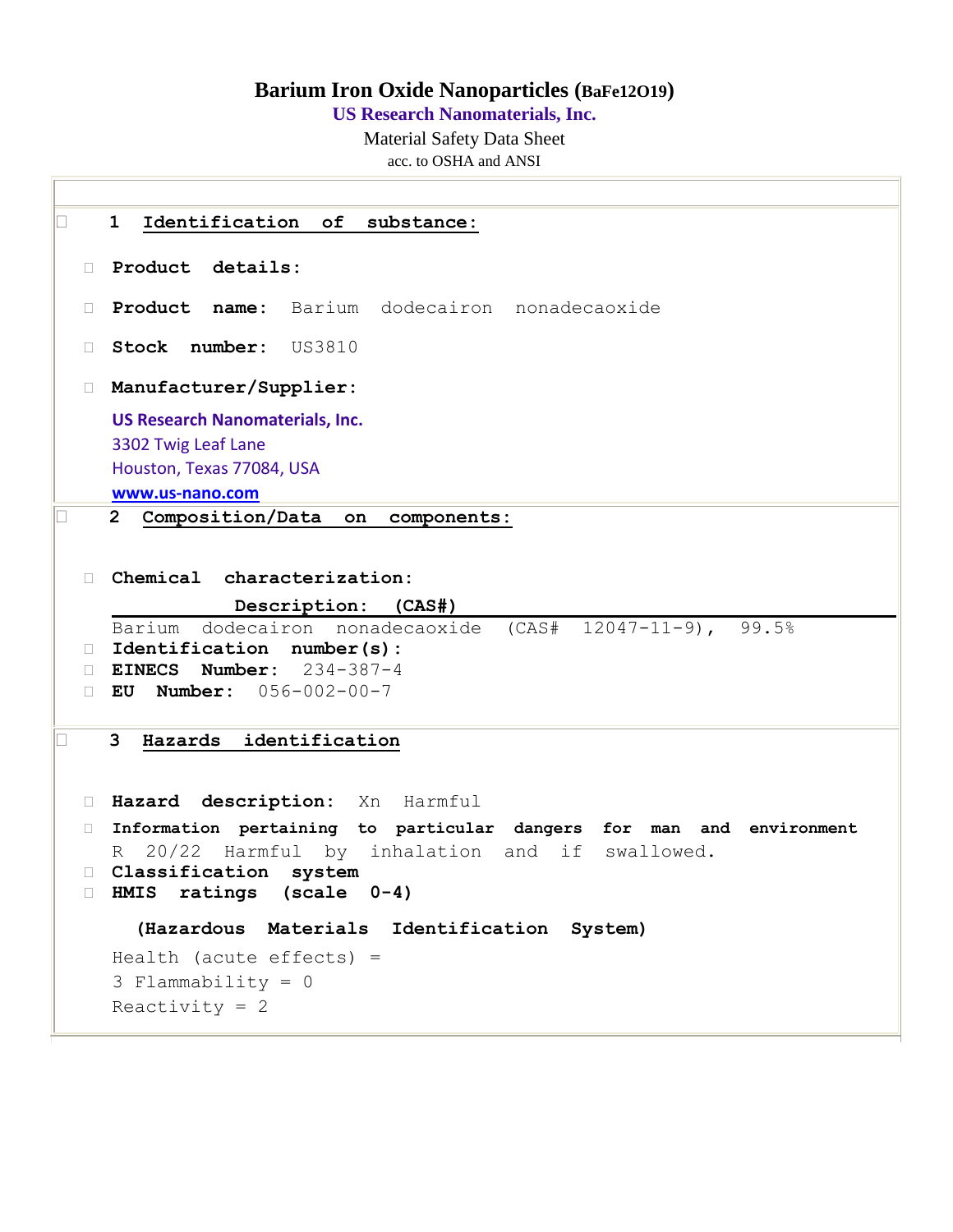## **Barium Iron Oxide Nanoparticles (BaFe12O19)**

**US Research Nanomaterials, Inc.**

Material Safety Data Sheet acc. to OSHA and ANSI

 **1 Identification of substance: Product details: Product name:** Barium dodecairon nonadecaoxide **Stock number:** US3810 **Manufacturer/Supplier: US Research Nanomaterials, Inc.** 3302 Twig Leaf Lane Houston, Texas 77084, USA **[www.us-nano.com](http://www.us-nano.com/) 2 Composition/Data on components: Chemical characterization: Description: (CAS#)** Barium dodecairon nonadecaoxide (CAS# 12047-11-9), 99.5% **Identification number(s): EINECS Number:** 234-387-4 **EU Number:** 056-002-00-7 **3 Hazards identification Hazard description:** Xn Harmful **Information pertaining to particular dangers for man and environment**  R 20/22 Harmful by inhalation and if swallowed. **Classification system HMIS ratings (scale 0-4) (Hazardous Materials Identification System)** Health (acute effects) = 3 Flammability = 0 Reactivity  $= 2$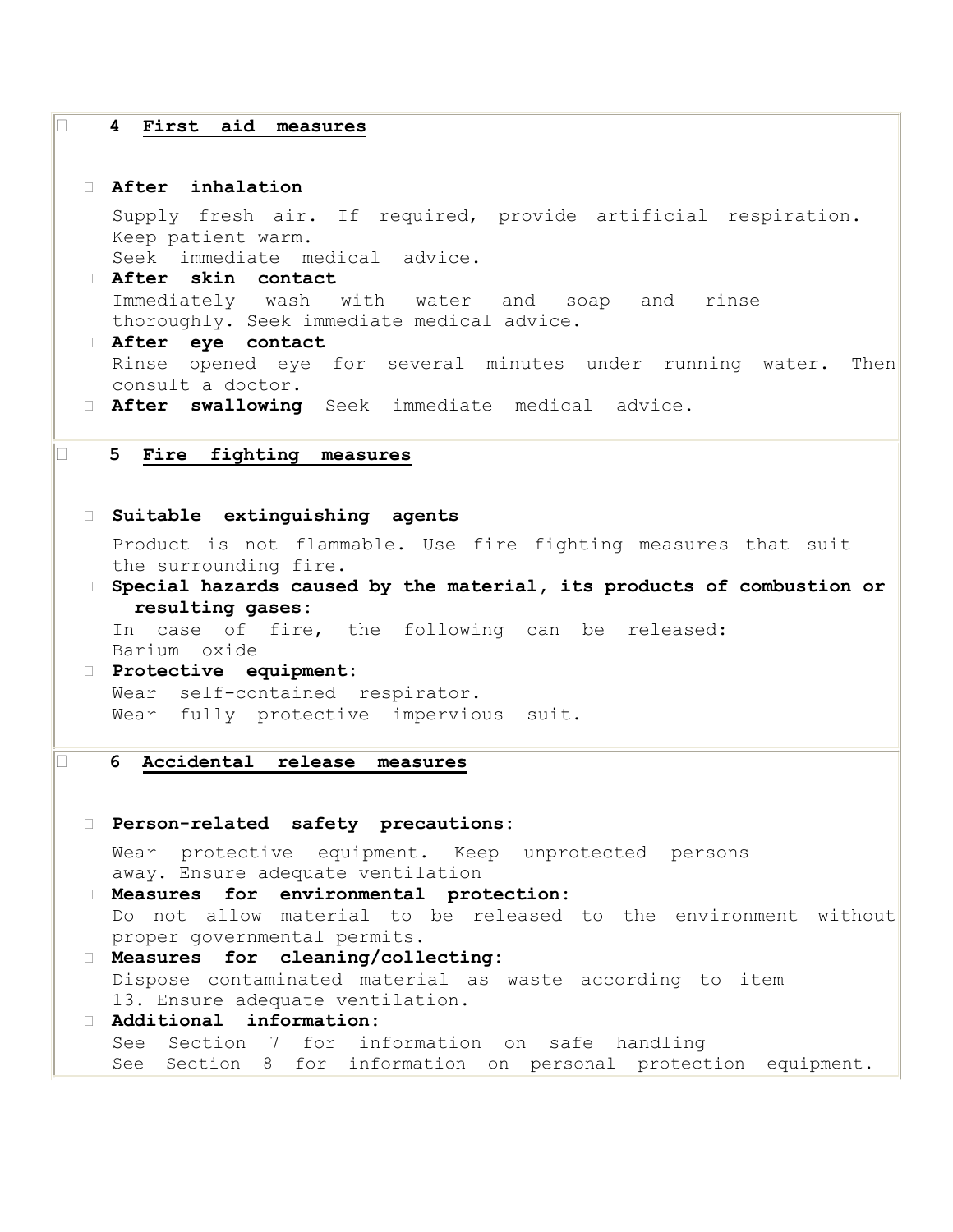### **4 First aid measures**

#### **After inhalation**

Supply fresh air. If required, provide artificial respiration. Keep patient warm.

Seek immediate medical advice.

```
 After skin contact 
 Immediately wash with water and soap and rinse 
 thoroughly. Seek immediate medical advice.
```
 **After eye contact**  Rinse opened eye for several minutes under running water. Then consult a doctor.

**After swallowing** Seek immediate medical advice.

# **5 Fire fighting measures**

```
 Suitable extinguishing agents
```
Product is not flammable. Use fire fighting measures that suit the surrounding fire.

 **Special hazards caused by the material, its products of combustion or resulting gases:**  In case of fire, the following can be released:

Barium oxide

 **Protective equipment:**  Wear self-contained respirator. Wear fully protective impervious suit.

#### **6 Accidental release measures**

# **Person-related safety precautions:**  Wear protective equipment. Keep unprotected persons away. Ensure adequate ventilation **Measures for environmental protection:** Do not allow material to be released to the environment without proper governmental permits. **Measures for cleaning/collecting:**  Dispose contaminated material as waste according to item 13. Ensure adequate ventilation. **Additional information:**  See Section 7 for information on safe handling See Section 8 for information on personal protection equipment.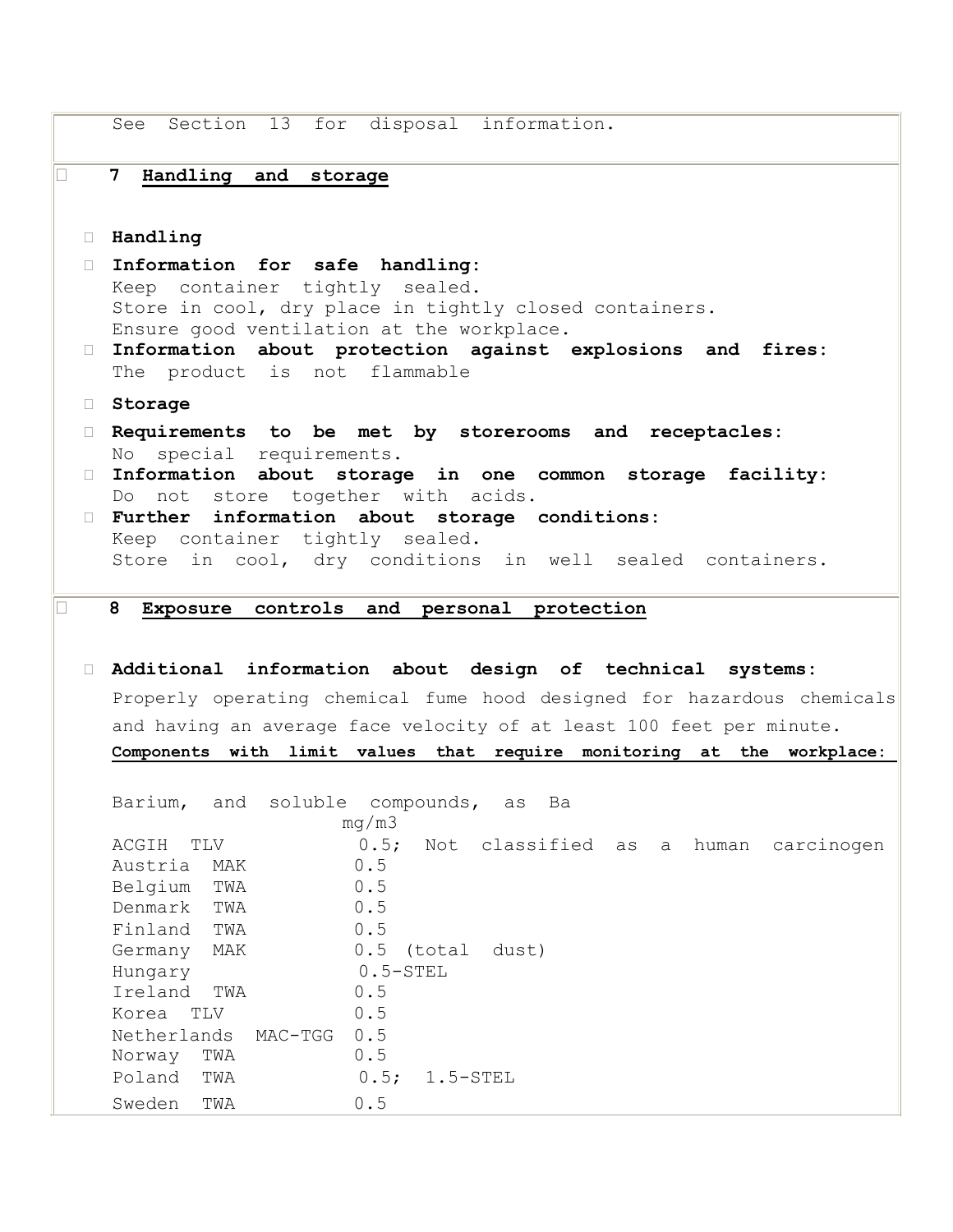See Section 13 for disposal information. **7 Handling and storage Handling Information for safe handling:**  Keep container tightly sealed. Store in cool, dry place in tightly closed containers. Ensure good ventilation at the workplace. **Information about protection against explosions and fires:**  The product is not flammable **Storage Requirements to be met by storerooms and receptacles:**  No special requirements. **Information about storage in one common storage facility:**  Do not store together with acids. **Further information about storage conditions:**  Keep container tightly sealed. Store in cool, dry conditions in well sealed containers. **8 Exposure controls and personal protection Additional information about design of technical systems:**  Properly operating chemical fume hood designed for hazardous chemicals and having an average face velocity of at least 100 feet per minute. **Components with limit values that require monitoring at the workplace:**  Barium, and soluble compounds, as Ba mg/m3 ACGIH TLV 0.5; Not classified as a human carcinogen Austria MAK 0.5 Belgium TWA 0.5 Denmark TWA 0.5 Finland TWA 0.5 Germany MAK 0.5 (total dust) Hungary 0.5-STEL Ireland TWA 0.5 Korea TLV 0.5 Netherlands MAC-TGG 0.5 Norway TWA 0.5 Poland TWA 0.5; 1.5-STEL Sweden TWA 0.5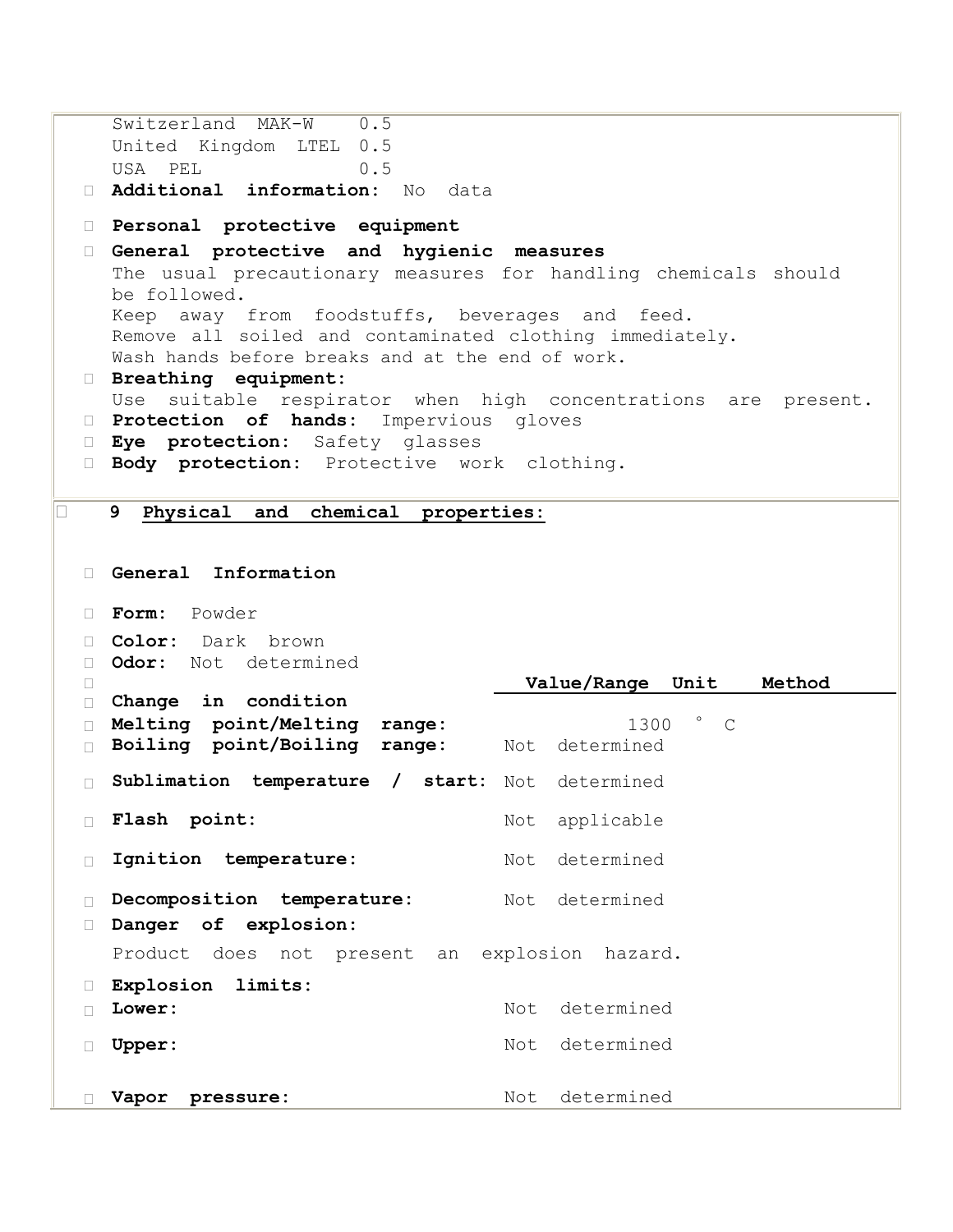```
Switzerland MAK-W 0.5
   United Kingdom LTEL 0.5
   USA PEL 0.5
  Additional information: No data
  Personal protective equipment 
  General protective and hygienic measures 
   The usual precautionary measures for handling chemicals should 
   be followed. 
   Keep away from foodstuffs, beverages and feed. 
   Remove all soiled and contaminated clothing immediately. 
   Wash hands before breaks and at the end of work. 
  Breathing equipment: 
   Use suitable respirator when high concentrations are present. 
  Protection of hands: Impervious gloves
  Eye protection: Safety glasses
  Body protection: Protective work clothing.
9 Physical and chemical properties:
  General Information 
  Form: Powder
  Color: Dark brown
  Odor: Not determined
 \BoxChange in condition

                                 Value/Range Unit Method
  Melting point/Melting range: 1300 ° C
  Boiling point/Boiling range: Not determined
  Sublimation temperature / start: Not determined
 Flash point: Not applicable
  Ignition temperature: Not determined
  Decomposition temperature: Not determined
  Danger of explosion: 
   Product does not present an explosion hazard. 
  Explosion limits: 
 \Box Lower: Not determined
  Upper: Not determined
  Vapor pressure: Not determined
```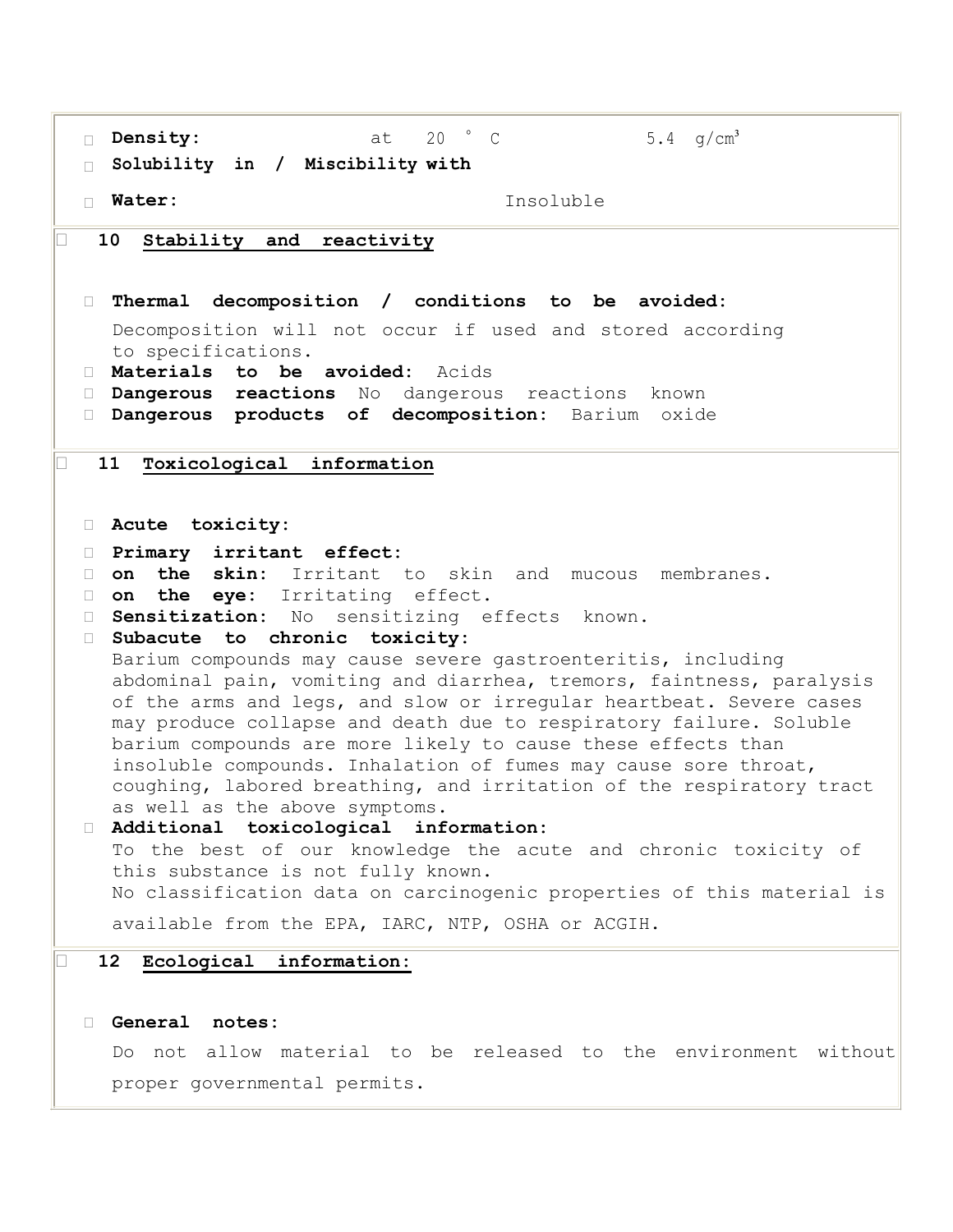| $20$ ° C<br>Density:<br>at<br>5.4 $q/cm^3$                                                                                                                                                                                                                                                  |  |
|---------------------------------------------------------------------------------------------------------------------------------------------------------------------------------------------------------------------------------------------------------------------------------------------|--|
| Solubility in / Miscibility with<br>$\Box$                                                                                                                                                                                                                                                  |  |
| □ Water:<br>Insoluble                                                                                                                                                                                                                                                                       |  |
|                                                                                                                                                                                                                                                                                             |  |
| 10<br>Stability and<br>reactivity                                                                                                                                                                                                                                                           |  |
|                                                                                                                                                                                                                                                                                             |  |
| Thermal decomposition / conditions to be avoided:<br>$\Box$                                                                                                                                                                                                                                 |  |
| Decomposition will not occur if used and stored according                                                                                                                                                                                                                                   |  |
| to specifications.<br>I Materials to be avoided: Acids                                                                                                                                                                                                                                      |  |
| Dangerous reactions No dangerous reactions<br>known<br><b>The Contract of the Contract of the Contract of the Contract of the Contract of the Contract of the Contract of the Contract of the Contract of the Contract of the Contract of the Contract of the Contract of the Contract </b> |  |
| D <b>Dangerous products of decomposition:</b> Barium<br>oxide                                                                                                                                                                                                                               |  |
|                                                                                                                                                                                                                                                                                             |  |
| 11<br>Toxicological information                                                                                                                                                                                                                                                             |  |
|                                                                                                                                                                                                                                                                                             |  |
|                                                                                                                                                                                                                                                                                             |  |
| Acute toxicity:                                                                                                                                                                                                                                                                             |  |
| Primary irritant effect:<br>$\Box$                                                                                                                                                                                                                                                          |  |
| the skin: Irritant to skin and mucous membranes.<br>on<br>П.                                                                                                                                                                                                                                |  |
| the eye: Irritating effect.<br>on<br>$\Box$                                                                                                                                                                                                                                                 |  |
| Sensitization: No sensitizing effects known.<br>$\mathbf{L}$<br>Subacute to chronic toxicity:<br>$\Box$                                                                                                                                                                                     |  |
| Barium compounds may cause severe gastroenteritis, including                                                                                                                                                                                                                                |  |
| abdominal pain, vomiting and diarrhea, tremors, faintness, paralysis                                                                                                                                                                                                                        |  |
| of the arms and legs, and slow or irregular heartbeat. Severe cases                                                                                                                                                                                                                         |  |
| may produce collapse and death due to respiratory failure. Soluble                                                                                                                                                                                                                          |  |
| barium compounds are more likely to cause these effects than                                                                                                                                                                                                                                |  |
| insoluble compounds. Inhalation of fumes may cause sore throat,                                                                                                                                                                                                                             |  |
| coughing, labored breathing, and irritation of the respiratory tract                                                                                                                                                                                                                        |  |
| as well as the above symptoms.<br>Additional toxicological information:                                                                                                                                                                                                                     |  |
| To the best of our knowledge the acute and chronic toxicity of                                                                                                                                                                                                                              |  |
| this substance is not fully known.                                                                                                                                                                                                                                                          |  |
| No classification data on carcinogenic properties of this material is                                                                                                                                                                                                                       |  |
| available from the EPA, IARC, NTP, OSHA or ACGIH.                                                                                                                                                                                                                                           |  |
|                                                                                                                                                                                                                                                                                             |  |
| 12 <sub>2</sub><br>Ecological information:                                                                                                                                                                                                                                                  |  |
|                                                                                                                                                                                                                                                                                             |  |
| General<br>notes:                                                                                                                                                                                                                                                                           |  |
| Do not allow material to be released to the environment without                                                                                                                                                                                                                             |  |
|                                                                                                                                                                                                                                                                                             |  |
| proper governmental permits.                                                                                                                                                                                                                                                                |  |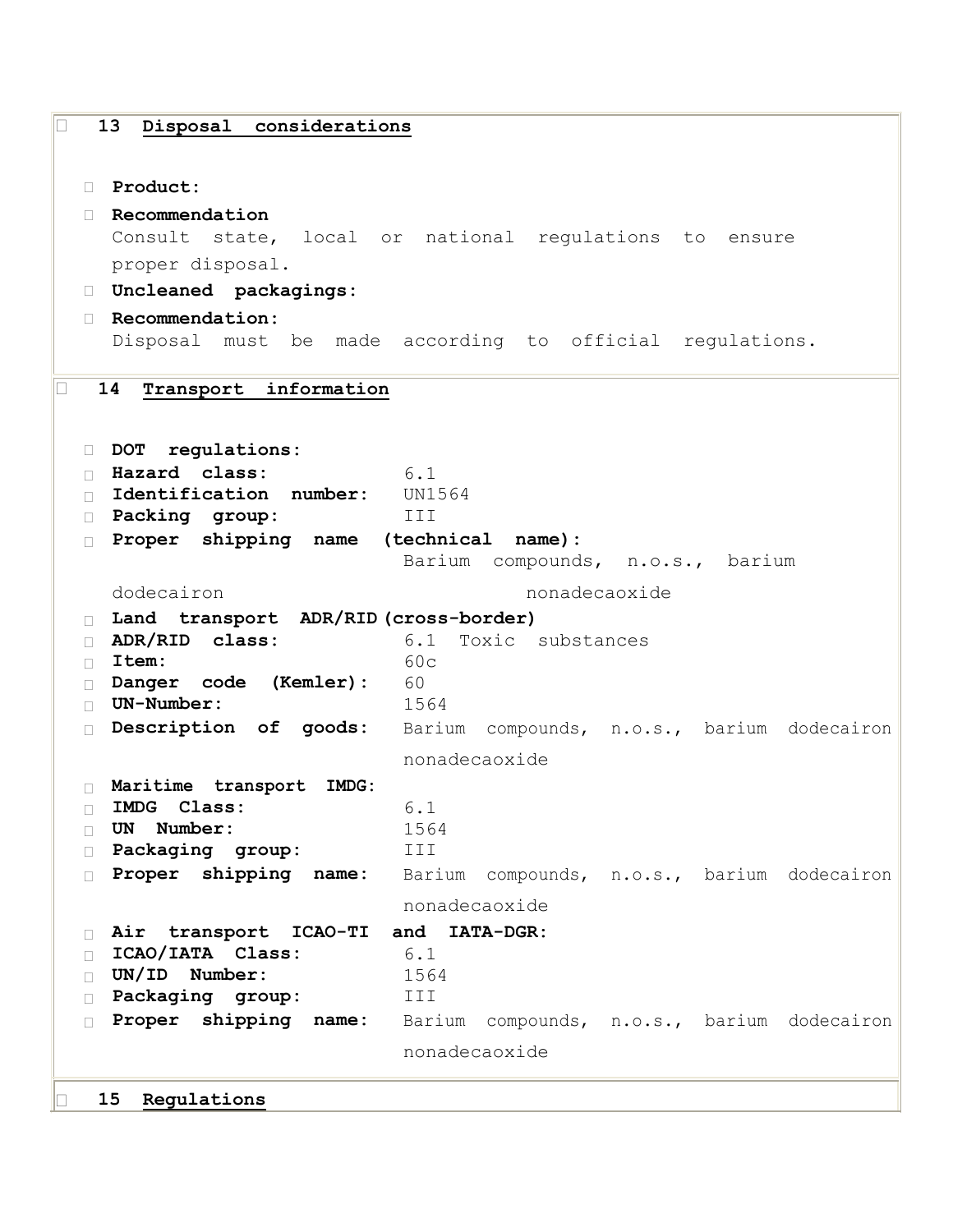```
 13 Disposal considerations
  Product: 
  Recommendation 
   Consult state, local or national regulations to ensure 
   proper disposal. 
  Uncleaned packagings: 
  Recommendation: 
   Disposal must be made according to official regulations. 
14 Transport information
 DOT regulations: 
 Hazard class: 6.1
 Identification number: UN1564
  Packing group: III
  Proper shipping name (technical name):
                        Barium compounds, n.o.s., barium
   dodecairon nonadecaoxide
  Land transport ADR/RID (cross-border)
  ADR/RID class: 6.1 Toxic substances
 Item: 60c
  Danger code (Kemler): 60
  UN-Number: 1564
  Description of goods: Barium compounds, n.o.s., barium dodecairon
                        nonadecaoxide
  Maritime transport IMDG:
 IMDG Class: 6.1
 UN Number: 1564
  Packaging group: III
  Proper shipping name: Barium compounds, n.o.s., barium dodecairon
                        nonadecaoxide
 Air transport ICAO-TI and IATA-DGR:
 ICAO/IATA Class: 6.1
 UN/ID Number: 1564
  Packaging group: III
  Proper shipping name: Barium compounds, n.o.s., barium dodecairon
                        nonadecaoxide
   15 Regulations
```